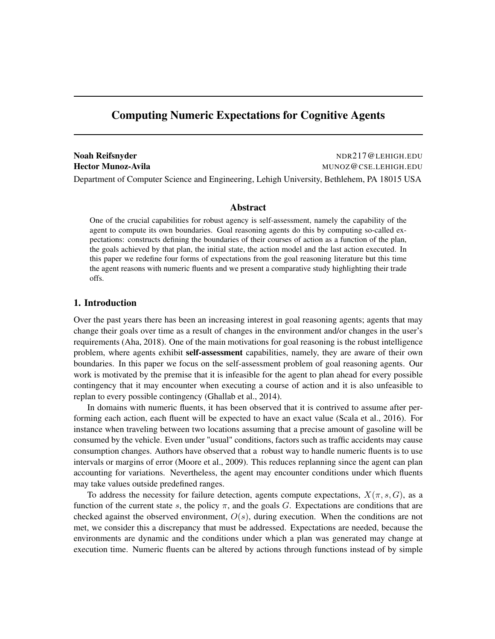# Computing Numeric Expectations for Cognitive Agents

Noah Reifsnyder NDR217@LEHIGH.EDU Hector Munoz-Avila **MUNOZ** CSE.LEHIGH.EDU Department of Computer Science and Engineering, Lehigh University, Bethlehem, PA 18015 USA

#### Abstract

One of the crucial capabilities for robust agency is self-assessment, namely the capability of the agent to compute its own boundaries. Goal reasoning agents do this by computing so-called expectations: constructs defining the boundaries of their courses of action as a function of the plan, the goals achieved by that plan, the initial state, the action model and the last action executed. In this paper we redefine four forms of expectations from the goal reasoning literature but this time the agent reasons with numeric fluents and we present a comparative study highlighting their trade offs.

# 1. Introduction

Over the past years there has been an increasing interest in goal reasoning agents; agents that may change their goals over time as a result of changes in the environment and/or changes in the user's requirements (Aha, 2018). One of the main motivations for goal reasoning is the robust intelligence problem, where agents exhibit self-assessment capabilities, namely, they are aware of their own boundaries. In this paper we focus on the self-assessment problem of goal reasoning agents. Our work is motivated by the premise that it is infeasible for the agent to plan ahead for every possible contingency that it may encounter when executing a course of action and it is also unfeasible to replan to every possible contingency (Ghallab et al., 2014).

In domains with numeric fluents, it has been observed that it is contrived to assume after performing each action, each fluent will be expected to have an exact value (Scala et al., 2016). For instance when traveling between two locations assuming that a precise amount of gasoline will be consumed by the vehicle. Even under "usual" conditions, factors such as traffic accidents may cause consumption changes. Authors have observed that a robust way to handle numeric fluents is to use intervals or margins of error (Moore et al., 2009). This reduces replanning since the agent can plan accounting for variations. Nevertheless, the agent may encounter conditions under which fluents may take values outside predefined ranges.

To address the necessity for failure detection, agents compute expectations,  $X(\pi, s, G)$ , as a function of the current state s, the policy  $\pi$ , and the goals G. Expectations are conditions that are checked against the observed environment,  $O(s)$ , during execution. When the conditions are not met, we consider this a discrepancy that must be addressed. Expectations are needed, because the environments are dynamic and the conditions under which a plan was generated may change at execution time. Numeric fluents can be altered by actions through functions instead of by simple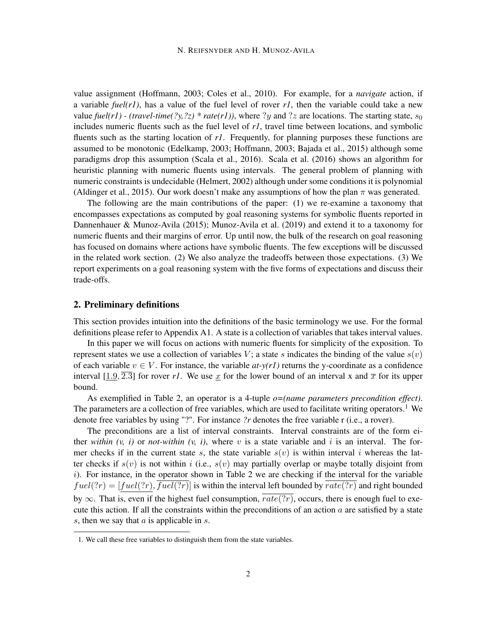value assignment (Hoffmann, 2003; Coles et al., 2010). For example, for a *navigate* action, if a variable  $fuel(rl)$ , has a value of the fuel level of rover  $rl$ , then the variable could take a new value *fuel(r1) - (travel-time(?y,?z)* \* *rate(r1))*, where ?y and ?z are locations. The starting state,  $s_0$ includes numeric fluents such as the fuel level of *r1*, travel time between locations, and symbolic fluents such as the starting location of *r1*. Frequently, for planning purposes these functions are assumed to be monotonic (Edelkamp, 2003; Hoffmann, 2003; Bajada et al., 2015) although some paradigms drop this assumption (Scala et al., 2016). Scala et al. (2016) shows an algorithm for heuristic planning with numeric fluents using intervals. The general problem of planning with numeric constraints is undecidable (Helmert, 2002) although under some conditions it is polynomial (Aldinger et al., 2015). Our work doesn't make any assumptions of how the plan  $\pi$  was generated.

The following are the main contributions of the paper: (1) we re-examine a taxonomy that encompasses expectations as computed by goal reasoning systems for symbolic fluents reported in Dannenhauer & Munoz-Avila (2015); Munoz-Avila et al. (2019) and extend it to a taxonomy for numeric fluents and their margins of error. Up until now, the bulk of the research on goal reasoning has focused on domains where actions have symbolic fluents. The few exceptions will be discussed in the related work section. (2) We also analyze the tradeoffs between those expectations. (3) We report experiments on a goal reasoning system with the five forms of expectations and discuss their trade-offs.

## 2. Preliminary definitions

This section provides intuition into the definitions of the basic terminology we use. For the formal definitions please refer to Appendix A1. A state is a collection of variables that takes interval values.

In this paper we will focus on actions with numeric fluents for simplicity of the exposition. To represent states we use a collection of variables V; a state s indicates the binding of the value  $s(v)$ of each variable  $v \in V$ . For instance, the variable  $at-y(r)$  returns the y-coordinate as a confidence interval  $[1.9, \overline{2.3}]$  for rover rl. We use x for the lower bound of an interval x and  $\overline{x}$  for its upper bound.

As exemplified in Table 2, an operator is a 4-tuple *o=(name parameters precondition effect)*. The parameters are a collection of free variables, which are used to facilitate writing operators.<sup>1</sup> We denote free variables by using "?". For instance *?r* denotes the free variable r (i.e., a rover).

The preconditions are a list of interval constraints. Interval constraints are of the form either *within*  $(v, i)$  or *not-within*  $(v, i)$ , where v is a state variable and i is an interval. The former checks if in the current state s, the state variable  $s(v)$  is within interval i whereas the latter checks if  $s(v)$  is not within i (i.e.,  $s(v)$  may partially overlap or maybe totally disjoint from  $i)$ . For instance, in the operator shown in Table 2 we are checking if the interval for the variable  $fuel(?r) = [fuel(?r), \overline{fuel(?r)}]$  is within the interval left bounded by  $\overline{rate(?r)}$  and right bounded by  $\infty$ . That is, even if the highest fuel consumption,  $\overline{rate(?r)}$ , occurs, there is enough fuel to execute this action. If all the constraints within the preconditions of an action  $\alpha$  are satisfied by a state s, then we say that  $\alpha$  is applicable in  $\alpha$ .

<sup>1.</sup> We call these free variables to distinguish them from the state variables.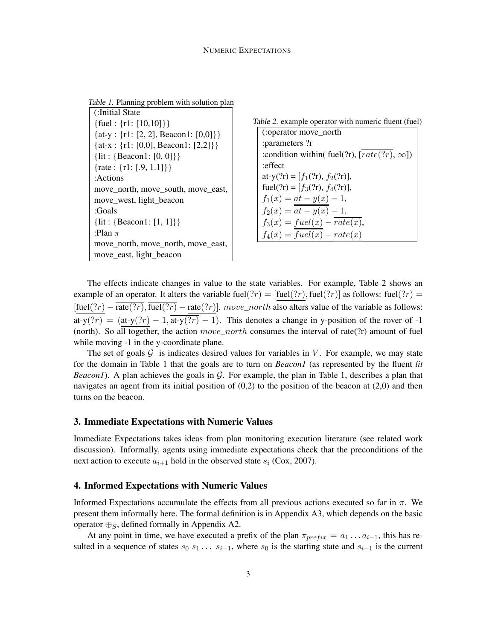Table 1. Planning problem with solution plan

| :Initial State                       |
|--------------------------------------|
| {fuel: $\{r1: [10,10]\}$ }           |
| {at-y: {r1: [2, 2], Beacon1: [0,0]}} |
| {at-x : {r1: [0,0], Beacon1: [2,2]}} |
| {lit: {Beacon1: $[0, 0]$ }           |
| {rate : {r1: [.9, 1.1]}}             |
| :Actions                             |
| move_north, move_south, move_east,   |
| move_west, light_beacon              |
| :Goals                               |
| {lit: {Beacon1: $[1, 1]$ }           |
| :Plan $\pi$                          |
| move_north, move_north, move_east,   |
| move_east, light_beacon              |



The effects indicate changes in value to the state variables. For example, Table 2 shows an example of an operator. It alters the variable fuel(?r) =  $[\text{fuel}(?r), \text{fuel}(?r)]$  as follows: fuel(?r) =  $[\text{fuel}(?r) - \overline{\text{rate}(?r)}, \overline{\text{fuel}(?r)} - \text{rate}(?r)].$  move\_north also alters value of the variable as follows: at-y(?r) = (at-y(?r) - 1,  $\overline{at-y(?r)}$  - 1). This denotes a change in y-position of the rover of -1 (north). So all together, the action  $move\_north$  consumes the interval of rate(?r) amount of fuel while moving  $-1$  in the y-coordinate plane.

The set of goals  $G$  is indicates desired values for variables in V. For example, we may state for the domain in Table 1 that the goals are to turn on *Beacon1* (as represented by the fluent *lit Beacon1*). A plan achieves the goals in  $G$ . For example, the plan in Table 1, describes a plan that navigates an agent from its initial position of  $(0,2)$  to the position of the beacon at  $(2,0)$  and then turns on the beacon.

### 3. Immediate Expectations with Numeric Values

Immediate Expectations takes ideas from plan monitoring execution literature (see related work discussion). Informally, agents using immediate expectations check that the preconditions of the next action to execute  $a_{i+1}$  hold in the observed state  $s_i$  (Cox, 2007).

## 4. Informed Expectations with Numeric Values

Informed Expectations accumulate the effects from all previous actions executed so far in  $\pi$ . We present them informally here. The formal definition is in Appendix A3, which depends on the basic operator  $\bigoplus_S$ , defined formally in Appendix A2.

At any point in time, we have executed a prefix of the plan  $\pi_{prefix} = a_1 \dots a_{i-1}$ , this has resulted in a sequence of states  $s_0$   $s_1 \ldots s_{i-1}$ , where  $s_0$  is the starting state and  $s_{i-1}$  is the current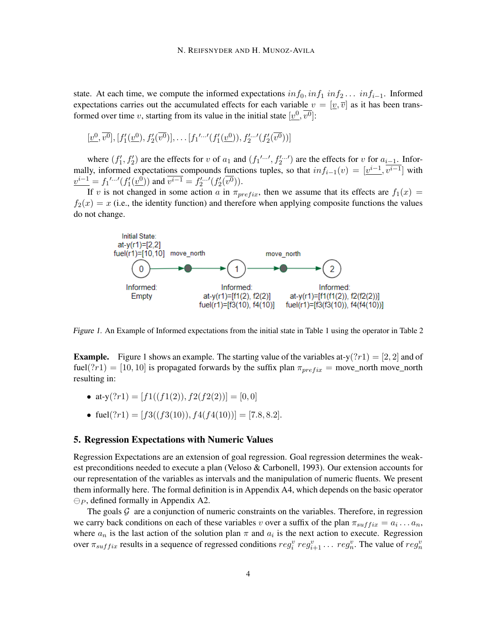state. At each time, we compute the informed expectations  $inf_0, inf_1 inf_2...$  inf $f_{i-1}$ . Informed expectations carries out the accumulated effects for each variable  $v = [\underline{v}, \overline{v}]$  as it has been transformed over time v, starting from its value in the initial state  $[\underline{v^0}, \overline{v^0}]$ :

$$
[\underline{v}^0, \overline{v^0}], [f'_1(\underline{v}^0), f'_2(\overline{v^0})], \dots [f_1' \cdots' (f'_1(\underline{v}^0)), f'_2 \cdots' (f'_2(\overline{v^0}))]
$$

where  $(f'_1, f'_2)$  are the effects for v of  $a_1$  and  $(f_1'...', f_2'...')$  are the effects for v for  $a_{i-1}$ . Informally, informed expectations compounds functions tuples, so that  $inf_{i=1}(v) = \left[\underline{v^{i-1}}, \overline{v^{i-1}}\right]$  with  $v^{i-1} = f_1' \cdots' (f'_1(\underline{v}^0))$  and  $\overline{v^{i-1}} = f'_2 \cdots' (f'_2(\overline{v^0}))$ .

If v is not changed in some action a in  $\pi_{prefix}$ , then we assume that its effects are  $f_1(x)$  =  $f_2(x) = x$  (i.e., the identity function) and therefore when applying composite functions the values do not change.



Figure 1. An Example of Informed expectations from the initial state in Table 1 using the operator in Table 2

**Example.** Figure 1 shows an example. The starting value of the variables at-y( $?r1$ ) = [2, 2] and of fuel(?r1) = [10, 10] is propagated forwards by the suffix plan  $\pi_{prefix}$  = move\_north move\_north resulting in:

- at-y $('?r1) = [f1((f1(2)), f2(f2(2))] = [0, 0]$
- fuel(?r1) = [f3((f3(10)), f4(f4(10))] = [7.8, 8.2].

### 5. Regression Expectations with Numeric Values

Regression Expectations are an extension of goal regression. Goal regression determines the weakest preconditions needed to execute a plan (Veloso & Carbonell, 1993). Our extension accounts for our representation of the variables as intervals and the manipulation of numeric fluents. We present them informally here. The formal definition is in Appendix A4, which depends on the basic operator  $\ominus_P$ , defined formally in Appendix A2.

The goals  $G$  are a conjunction of numeric constraints on the variables. Therefore, in regression we carry back conditions on each of these variables v over a suffix of the plan  $\pi_{suffix} = a_i \dots a_n$ , where  $a_n$  is the last action of the solution plan  $\pi$  and  $a_i$  is the next action to execute. Regression over  $\pi_{suffix}$  results in a sequence of regressed conditions  $reg_i^v reg_{i+1}^v \dots reg_n^v$ . The value of  $reg_n^v$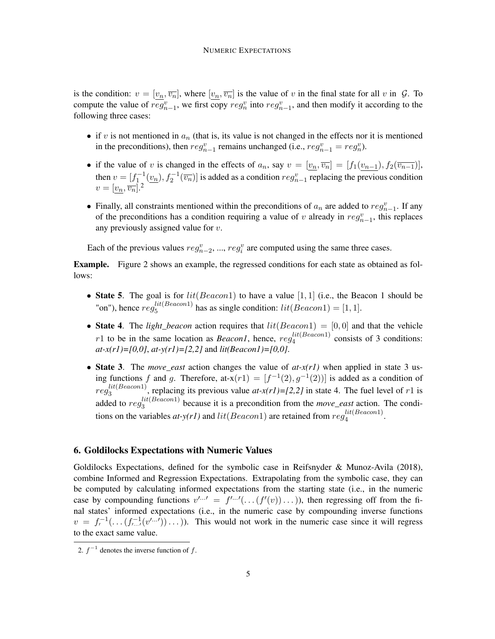is the condition:  $v = [v_n, \overline{v_n}]$ , where  $[v_n, \overline{v_n}]$  is the value of v in the final state for all v in  $\mathcal{G}$ . To compute the value of  $reg_{n-1}^v$ , we first copy  $reg_n^v$  into  $reg_{n-1}^v$ , and then modify it according to the following three cases:

- if v is not mentioned in  $a_n$  (that is, its value is not changed in the effects nor it is mentioned in the preconditions), then  $reg_{n-1}^v$  remains unchanged (i.e.,  $reg_{n-1}^v = reg_n^v$ ).
- if the value of v is changed in the effects of  $a_n$ , say  $v = [v_n, \overline{v_n}] = [f_1(v_{n-1}), f_2(\overline{v_{n-1}})],$ then  $v = [f_1^{-1}(\underline{v_n}), f_2^{-1}(\overline{v_n})]$  is added as a condition  $reg_{n-1}^v$  replacing the previous condition  $v=[v_n,\overline{v_n}].^2$
- Finally, all constraints mentioned within the preconditions of  $a_n$  are added to  $reg_{n-1}^v$ . If any of the preconditions has a condition requiring a value of v already in  $reg_{n-1}^v$ , this replaces any previously assigned value for v.

Each of the previous values  $reg_{n-2}^v, ..., reg_i^v$  are computed using the same three cases.

Example. Figure 2 shows an example, the regressed conditions for each state as obtained as follows:

- State 5. The goal is for  $lit(Beacon1)$  to have a value  $[1, 1]$  (i.e., the Beacon 1 should be "on"), hence  $reg_5^{lit(Beacon1)}$  $\binom{1}{5}$  has as single condition:  $lit(Beacon1) = [1, 1].$
- State 4. The *light\_beacon* action requires that  $lit(Beacon1) = [0, 0]$  and that the vehicle r1 to be in the same location as *Beacon1*, hence,  $reg_4^{lit(Beacon1)}$  $\frac{u(t) \text{ e}<sub>u</sub>}{4}$  consists of 3 conditions: *at-x(r1)=[0,0]*, *at-y(r1)=[2,2]* and *lit(Beacon1)=[0,0]*.
- State 3. The *move\_east* action changes the value of *at-x(r1)* when applied in state 3 using functions f and g. Therefore, at- $x(r1) = [f^{-1}(2), g^{-1}(2)]$  is added as a condition of  $reg_3^{lit(Beacon1)}$  $a_3^{(n)}$ , replacing its previous value  $at-x(r1)$ =[2,2] in state 4. The fuel level of r1 is added to  $reg_3^{lit(Beacon1)}$  $\frac{3}{3}$ <sup>th (because it is a precondition from the *move\_east* action. The condi-</sup> tions on the variables  $at$ -y(r1) and  $lit(Beacon1)$  are retained from  $reg_4^{lit(Beacon1)}$  $\frac{u(Deacon1)}{4}$ .

# 6. Goldilocks Expectations with Numeric Values

Goldilocks Expectations, defined for the symbolic case in Reifsnyder & Munoz-Avila (2018), combine Informed and Regression Expectations. Extrapolating from the symbolic case, they can be computed by calculating informed expectations from the starting state (i.e., in the numeric case by compounding functions  $v^{l} = f^{l} \cdots^{l} (\dots (f'(v)) \dots)$ , then regressing off from the final states' informed expectations (i.e., in the numeric case by compounding inverse functions  $v = f_t^{-1}(\ldots(f_{t-1}^{-1}(v^{t-1}))\ldots)$ ). This would not work in the numeric case since it will regress to the exact same value.

<sup>2.</sup>  $f^{-1}$  denotes the inverse function of f.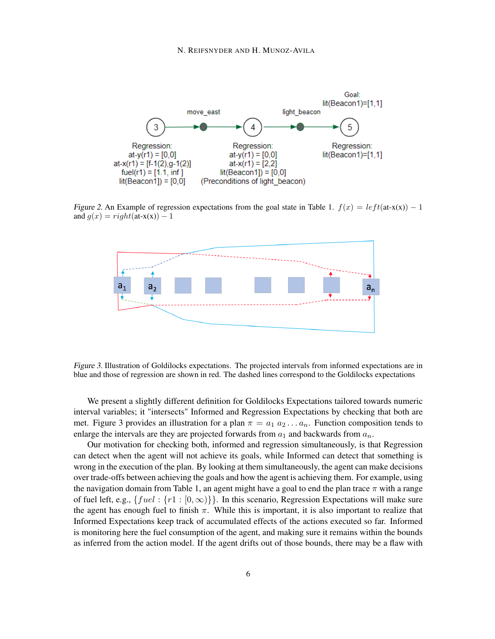#### N. REIFSNYDER AND H. MUNOZ-AVILA



Figure 2. An Example of regression expectations from the goal state in Table 1.  $f(x) = left(\text{at-x}(x)) - 1$ and  $g(x) = right$ (at-x(x)) – 1



Figure 3. Illustration of Goldilocks expectations. The projected intervals from informed expectations are in blue and those of regression are shown in red. The dashed lines correspond to the Goldilocks expectations

We present a slightly different definition for Goldilocks Expectations tailored towards numeric interval variables; it "intersects" Informed and Regression Expectations by checking that both are met. Figure 3 provides an illustration for a plan  $\pi = a_1 a_2 \dots a_n$ . Function composition tends to enlarge the intervals are they are projected forwards from  $a_1$  and backwards from  $a_n$ .

Our motivation for checking both, informed and regression simultaneously, is that Regression can detect when the agent will not achieve its goals, while Informed can detect that something is wrong in the execution of the plan. By looking at them simultaneously, the agent can make decisions over trade-offs between achieving the goals and how the agent is achieving them. For example, using the navigation domain from Table 1, an agent might have a goal to end the plan trace  $\pi$  with a range of fuel left, e.g.,  $\{ful: {n \in [0, \infty)}\}$ . In this scenario, Regression Expectations will make sure the agent has enough fuel to finish  $\pi$ . While this is important, it is also important to realize that Informed Expectations keep track of accumulated effects of the actions executed so far. Informed is monitoring here the fuel consumption of the agent, and making sure it remains within the bounds as inferred from the action model. If the agent drifts out of those bounds, there may be a flaw with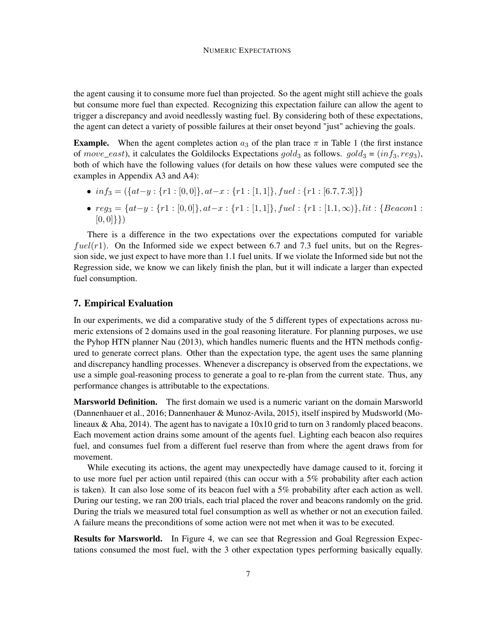the agent causing it to consume more fuel than projected. So the agent might still achieve the goals but consume more fuel than expected. Recognizing this expectation failure can allow the agent to trigger a discrepancy and avoid needlessly wasting fuel. By considering both of these expectations, the agent can detect a variety of possible failures at their onset beyond "just" achieving the goals.

**Example.** When the agent completes action  $a_3$  of the plan trace  $\pi$  in Table 1 (the first instance of move\_east), it calculates the Goldilocks Expectations gold<sub>3</sub> as follows. gold<sub>3</sub> = (inf<sub>3</sub>, reg<sub>3</sub>), both of which have the following values (for details on how these values were computed see the examples in Appendix A3 and A4):

- $inf_3 = (\{at-y : \{r1 : [0,0]\}, at-x : \{r1 : [1,1]\}, fuel : \{r1 : [6.7,7.3]\}\})$
- $reg_3 = \{at-y : \{r1 : [0,0]\}, at-x : \{r1 : [1,1]\}, fuel : \{r1 : [1.1,\infty)\}, lit : \{Beacon1 : [1,1] \}$  $[0,0]$ }

There is a difference in the two expectations over the expectations computed for variable  $fuel(r1)$ . On the Informed side we expect between 6.7 and 7.3 fuel units, but on the Regression side, we just expect to have more than 1.1 fuel units. If we violate the Informed side but not the Regression side, we know we can likely finish the plan, but it will indicate a larger than expected fuel consumption.

# 7. Empirical Evaluation

In our experiments, we did a comparative study of the 5 different types of expectations across numeric extensions of 2 domains used in the goal reasoning literature. For planning purposes, we use the Pyhop HTN planner Nau (2013), which handles numeric fluents and the HTN methods configured to generate correct plans. Other than the expectation type, the agent uses the same planning and discrepancy handling processes. Whenever a discrepancy is observed from the expectations, we use a simple goal-reasoning process to generate a goal to re-plan from the current state. Thus, any performance changes is attributable to the expectations.

Marsworld Definition. The first domain we used is a numeric variant on the domain Marsworld (Dannenhauer et al., 2016; Dannenhauer & Munoz-Avila, 2015), itself inspired by Mudsworld (Molineaux & Aha, 2014). The agent has to navigate a  $10x10$  grid to turn on 3 randomly placed beacons. Each movement action drains some amount of the agents fuel. Lighting each beacon also requires fuel, and consumes fuel from a different fuel reserve than from where the agent draws from for movement.

While executing its actions, the agent may unexpectedly have damage caused to it, forcing it to use more fuel per action until repaired (this can occur with a 5% probability after each action is taken). It can also lose some of its beacon fuel with a 5% probability after each action as well. During our testing, we ran 200 trials, each trial placed the rover and beacons randomly on the grid. During the trials we measured total fuel consumption as well as whether or not an execution failed. A failure means the preconditions of some action were not met when it was to be executed.

Results for Marsworld. In Figure 4, we can see that Regression and Goal Regression Expectations consumed the most fuel, with the 3 other expectation types performing basically equally.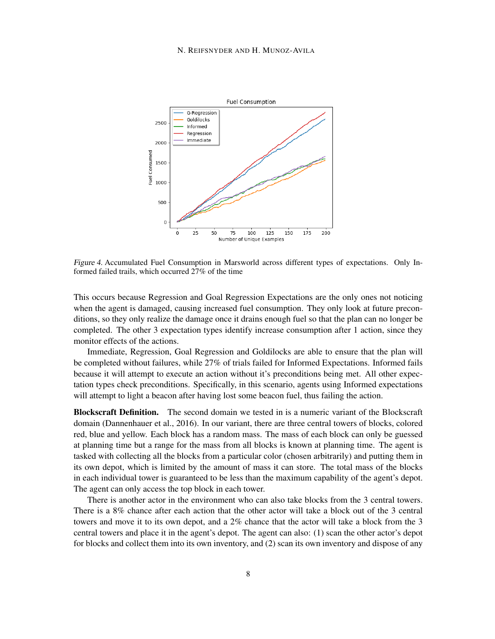#### N. REIFSNYDER AND H. MUNOZ-AVILA



Figure 4. Accumulated Fuel Consumption in Marsworld across different types of expectations. Only Informed failed trails, which occurred 27% of the time

This occurs because Regression and Goal Regression Expectations are the only ones not noticing when the agent is damaged, causing increased fuel consumption. They only look at future preconditions, so they only realize the damage once it drains enough fuel so that the plan can no longer be completed. The other 3 expectation types identify increase consumption after 1 action, since they monitor effects of the actions.

Immediate, Regression, Goal Regression and Goldilocks are able to ensure that the plan will be completed without failures, while 27% of trials failed for Informed Expectations. Informed fails because it will attempt to execute an action without it's preconditions being met. All other expectation types check preconditions. Specifically, in this scenario, agents using Informed expectations will attempt to light a beacon after having lost some beacon fuel, thus failing the action.

Blockscraft Definition. The second domain we tested in is a numeric variant of the Blockscraft domain (Dannenhauer et al., 2016). In our variant, there are three central towers of blocks, colored red, blue and yellow. Each block has a random mass. The mass of each block can only be guessed at planning time but a range for the mass from all blocks is known at planning time. The agent is tasked with collecting all the blocks from a particular color (chosen arbitrarily) and putting them in its own depot, which is limited by the amount of mass it can store. The total mass of the blocks in each individual tower is guaranteed to be less than the maximum capability of the agent's depot. The agent can only access the top block in each tower.

There is another actor in the environment who can also take blocks from the 3 central towers. There is a 8% chance after each action that the other actor will take a block out of the 3 central towers and move it to its own depot, and a 2% chance that the actor will take a block from the 3 central towers and place it in the agent's depot. The agent can also: (1) scan the other actor's depot for blocks and collect them into its own inventory, and (2) scan its own inventory and dispose of any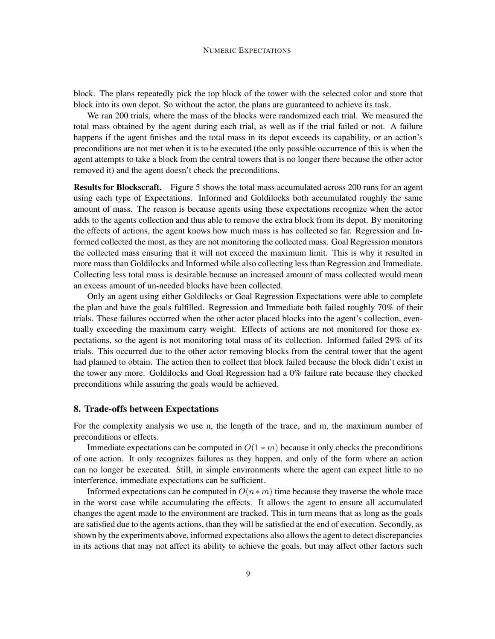block. The plans repeatedly pick the top block of the tower with the selected color and store that block into its own depot. So without the actor, the plans are guaranteed to achieve its task.

We ran 200 trials, where the mass of the blocks were randomized each trial. We measured the total mass obtained by the agent during each trial, as well as if the trial failed or not. A failure happens if the agent finishes and the total mass in its depot exceeds its capability, or an action's preconditions are not met when it is to be executed (the only possible occurrence of this is when the agent attempts to take a block from the central towers that is no longer there because the other actor removed it) and the agent doesn't check the preconditions.

Results for Blockscraft. Figure 5 shows the total mass accumulated across 200 runs for an agent using each type of Expectations. Informed and Goldilocks both accumulated roughly the same amount of mass. The reason is because agents using these expectations recognize when the actor adds to the agents collection and thus able to remove the extra block from its depot. By monitoring the effects of actions, the agent knows how much mass is has collected so far. Regression and Informed collected the most, as they are not monitoring the collected mass. Goal Regression monitors the collected mass ensuring that it will not exceed the maximum limit. This is why it resulted in more mass than Goldilocks and Informed while also collecting less than Regression and Immediate. Collecting less total mass is desirable because an increased amount of mass collected would mean an excess amount of un-needed blocks have been collected.

Only an agent using either Goldilocks or Goal Regression Expectations were able to complete the plan and have the goals fulfilled. Regression and Immediate both failed roughly 70% of their trials. These failures occurred when the other actor placed blocks into the agent's collection, eventually exceeding the maximum carry weight. Effects of actions are not monitored for those expectations, so the agent is not monitoring total mass of its collection. Informed failed 29% of its trials. This occurred due to the other actor removing blocks from the central tower that the agent had planned to obtain. The action then to collect that block failed because the block didn't exist in the tower any more. Goldilocks and Goal Regression had a 0% failure rate because they checked preconditions while assuring the goals would be achieved.

### 8. Trade-offs between Expectations

For the complexity analysis we use n, the length of the trace, and m, the maximum number of preconditions or effects.

Immediate expectations can be computed in  $O(1 * m)$  because it only checks the preconditions of one action. It only recognizes failures as they happen, and only of the form where an action can no longer be executed. Still, in simple environments where the agent can expect little to no interference, immediate expectations can be sufficient.

Informed expectations can be computed in  $O(n * m)$  time because they traverse the whole trace in the worst case while accumulating the effects. It allows the agent to ensure all accumulated changes the agent made to the environment are tracked. This in turn means that as long as the goals are satisfied due to the agents actions, than they will be satisfied at the end of execution. Secondly, as shown by the experiments above, informed expectations also allows the agent to detect discrepancies in its actions that may not affect its ability to achieve the goals, but may affect other factors such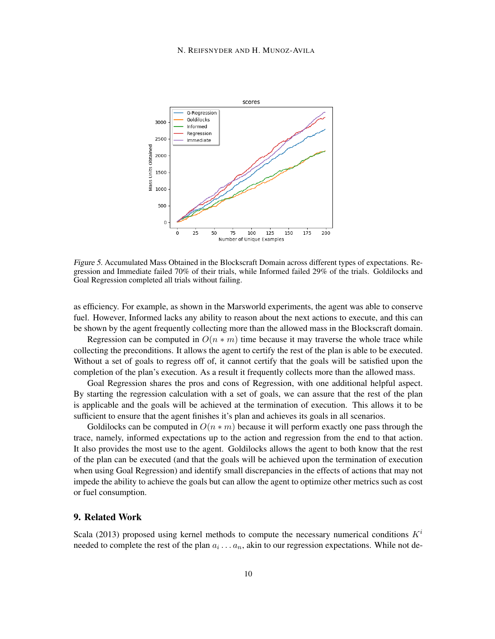#### N. REIFSNYDER AND H. MUNOZ-AVILA



Figure 5. Accumulated Mass Obtained in the Blockscraft Domain across different types of expectations. Regression and Immediate failed 70% of their trials, while Informed failed 29% of the trials. Goldilocks and Goal Regression completed all trials without failing.

as efficiency. For example, as shown in the Marsworld experiments, the agent was able to conserve fuel. However, Informed lacks any ability to reason about the next actions to execute, and this can be shown by the agent frequently collecting more than the allowed mass in the Blockscraft domain.

Regression can be computed in  $O(n * m)$  time because it may traverse the whole trace while collecting the preconditions. It allows the agent to certify the rest of the plan is able to be executed. Without a set of goals to regress off of, it cannot certify that the goals will be satisfied upon the completion of the plan's execution. As a result it frequently collects more than the allowed mass.

Goal Regression shares the pros and cons of Regression, with one additional helpful aspect. By starting the regression calculation with a set of goals, we can assure that the rest of the plan is applicable and the goals will be achieved at the termination of execution. This allows it to be sufficient to ensure that the agent finishes it's plan and achieves its goals in all scenarios.

Goldilocks can be computed in  $O(n * m)$  because it will perform exactly one pass through the trace, namely, informed expectations up to the action and regression from the end to that action. It also provides the most use to the agent. Goldilocks allows the agent to both know that the rest of the plan can be executed (and that the goals will be achieved upon the termination of execution when using Goal Regression) and identify small discrepancies in the effects of actions that may not impede the ability to achieve the goals but can allow the agent to optimize other metrics such as cost or fuel consumption.

# 9. Related Work

Scala (2013) proposed using kernel methods to compute the necessary numerical conditions  $K<sup>i</sup>$ needed to complete the rest of the plan  $a_i \dots a_n$ , akin to our regression expectations. While not de-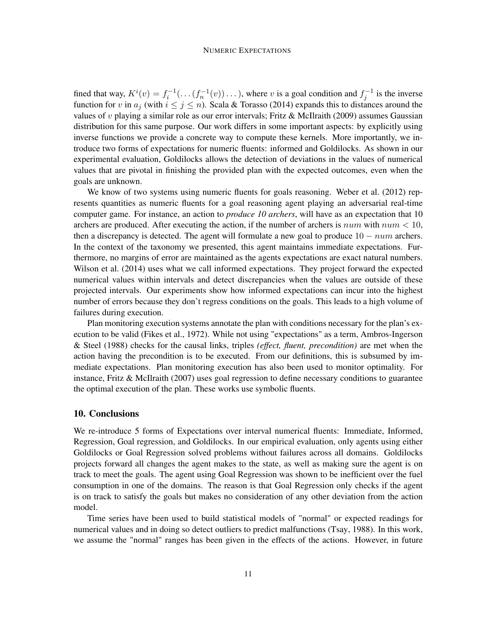#### NUMERIC EXPECTATIONS

fined that way,  $K^i(v) = f_i^{-1}(\ldots(f_n^{-1}(v))\ldots)$ , where v is a goal condition and  $f_j^{-1}$  is the inverse function for v in  $a_j$  (with  $i \leq j \leq n$ ). Scala & Torasso (2014) expands this to distances around the values of  $v$  playing a similar role as our error intervals; Fritz & McIlraith (2009) assumes Gaussian distribution for this same purpose. Our work differs in some important aspects: by explicitly using inverse functions we provide a concrete way to compute these kernels. More importantly, we introduce two forms of expectations for numeric fluents: informed and Goldilocks. As shown in our experimental evaluation, Goldilocks allows the detection of deviations in the values of numerical values that are pivotal in finishing the provided plan with the expected outcomes, even when the goals are unknown.

We know of two systems using numeric fluents for goals reasoning. Weber et al. (2012) represents quantities as numeric fluents for a goal reasoning agent playing an adversarial real-time computer game. For instance, an action to *produce 10 archers*, will have as an expectation that 10 archers are produced. After executing the action, if the number of archers is num with num  $\lt 10$ , then a discrepancy is detected. The agent will formulate a new goal to produce  $10 - num$  archers. In the context of the taxonomy we presented, this agent maintains immediate expectations. Furthermore, no margins of error are maintained as the agents expectations are exact natural numbers. Wilson et al. (2014) uses what we call informed expectations. They project forward the expected numerical values within intervals and detect discrepancies when the values are outside of these projected intervals. Our experiments show how informed expectations can incur into the highest number of errors because they don't regress conditions on the goals. This leads to a high volume of failures during execution.

Plan monitoring execution systems annotate the plan with conditions necessary for the plan's execution to be valid (Fikes et al., 1972). While not using "expectations" as a term, Ambros-Ingerson & Steel (1988) checks for the causal links, triples *(effect, fluent, precondition)* are met when the action having the precondition is to be executed. From our definitions, this is subsumed by immediate expectations. Plan monitoring execution has also been used to monitor optimality. For instance, Fritz & McIlraith (2007) uses goal regression to define necessary conditions to guarantee the optimal execution of the plan. These works use symbolic fluents.

# 10. Conclusions

We re-introduce 5 forms of Expectations over interval numerical fluents: Immediate, Informed, Regression, Goal regression, and Goldilocks. In our empirical evaluation, only agents using either Goldilocks or Goal Regression solved problems without failures across all domains. Goldilocks projects forward all changes the agent makes to the state, as well as making sure the agent is on track to meet the goals. The agent using Goal Regression was shown to be inefficient over the fuel consumption in one of the domains. The reason is that Goal Regression only checks if the agent is on track to satisfy the goals but makes no consideration of any other deviation from the action model.

Time series have been used to build statistical models of "normal" or expected readings for numerical values and in doing so detect outliers to predict malfunctions (Tsay, 1988). In this work, we assume the "normal" ranges has been given in the effects of the actions. However, in future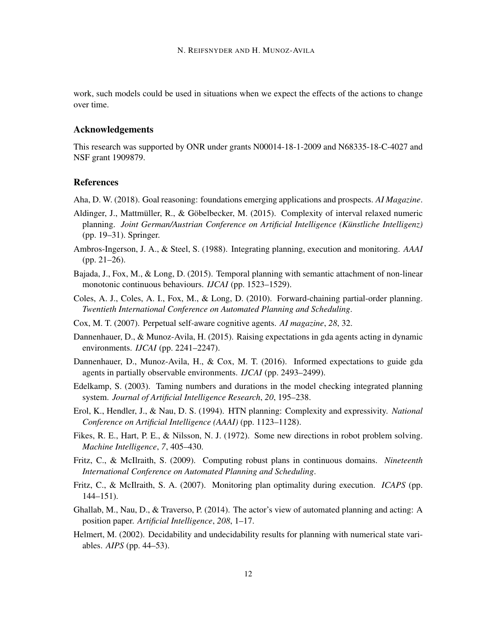work, such models could be used in situations when we expect the effects of the actions to change over time.

# Acknowledgements

This research was supported by ONR under grants N00014-18-1-2009 and N68335-18-C-4027 and NSF grant 1909879.

# References

Aha, D. W. (2018). Goal reasoning: foundations emerging applications and prospects. *AI Magazine*.

- Aldinger, J., Mattmüller, R., & Göbelbecker, M. (2015). Complexity of interval relaxed numeric planning. *Joint German/Austrian Conference on Artificial Intelligence (Künstliche Intelligenz)* (pp. 19–31). Springer.
- Ambros-Ingerson, J. A., & Steel, S. (1988). Integrating planning, execution and monitoring. *AAAI* (pp. 21–26).
- Bajada, J., Fox, M., & Long, D. (2015). Temporal planning with semantic attachment of non-linear monotonic continuous behaviours. *IJCAI* (pp. 1523–1529).
- Coles, A. J., Coles, A. I., Fox, M., & Long, D. (2010). Forward-chaining partial-order planning. *Twentieth International Conference on Automated Planning and Scheduling*.
- Cox, M. T. (2007). Perpetual self-aware cognitive agents. *AI magazine*, *28*, 32.
- Dannenhauer, D., & Munoz-Avila, H. (2015). Raising expectations in gda agents acting in dynamic environments. *IJCAI* (pp. 2241–2247).
- Dannenhauer, D., Munoz-Avila, H., & Cox, M. T. (2016). Informed expectations to guide gda agents in partially observable environments. *IJCAI* (pp. 2493–2499).
- Edelkamp, S. (2003). Taming numbers and durations in the model checking integrated planning system. *Journal of Artificial Intelligence Research*, *20*, 195–238.
- Erol, K., Hendler, J., & Nau, D. S. (1994). HTN planning: Complexity and expressivity. *National Conference on Artificial Intelligence (AAAI)* (pp. 1123–1128).
- Fikes, R. E., Hart, P. E., & Nilsson, N. J. (1972). Some new directions in robot problem solving. *Machine Intelligence*, *7*, 405–430.
- Fritz, C., & McIlraith, S. (2009). Computing robust plans in continuous domains. *Nineteenth International Conference on Automated Planning and Scheduling*.
- Fritz, C., & McIlraith, S. A. (2007). Monitoring plan optimality during execution. *ICAPS* (pp. 144–151).
- Ghallab, M., Nau, D., & Traverso, P. (2014). The actor's view of automated planning and acting: A position paper. *Artificial Intelligence*, *208*, 1–17.
- Helmert, M. (2002). Decidability and undecidability results for planning with numerical state variables. *AIPS* (pp. 44–53).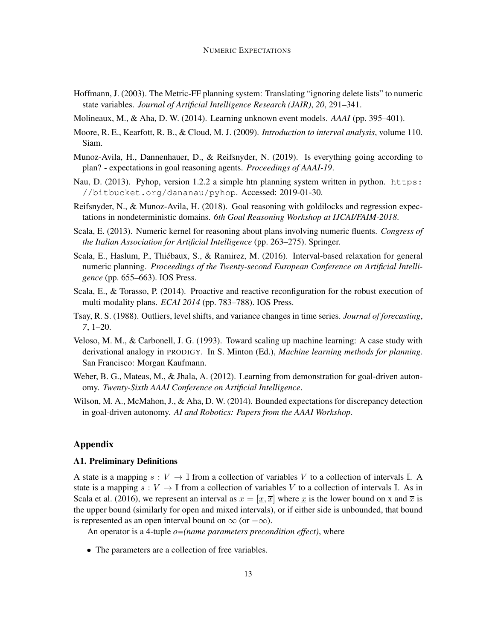- Hoffmann, J. (2003). The Metric-FF planning system: Translating "ignoring delete lists" to numeric state variables. *Journal of Artificial Intelligence Research (JAIR)*, *20*, 291–341.
- Molineaux, M., & Aha, D. W. (2014). Learning unknown event models. *AAAI* (pp. 395–401).
- Moore, R. E., Kearfott, R. B., & Cloud, M. J. (2009). *Introduction to interval analysis*, volume 110. Siam.
- Munoz-Avila, H., Dannenhauer, D., & Reifsnyder, N. (2019). Is everything going according to plan? - expectations in goal reasoning agents. *Proceedings of AAAI-19*.
- Nau, D. (2013). Pyhop, version 1.2.2 a simple htn planning system written in python. https: //bitbucket.org/dananau/pyhop. Accessed: 2019-01-30.
- Reifsnyder, N., & Munoz-Avila, H. (2018). Goal reasoning with goldilocks and regression expectations in nondeterministic domains. *6th Goal Reasoning Workshop at IJCAI/FAIM-2018*.
- Scala, E. (2013). Numeric kernel for reasoning about plans involving numeric fluents. *Congress of the Italian Association for Artificial Intelligence* (pp. 263–275). Springer.
- Scala, E., Haslum, P., Thiébaux, S., & Ramirez, M. (2016). Interval-based relaxation for general numeric planning. *Proceedings of the Twenty-second European Conference on Artificial Intelligence* (pp. 655–663). IOS Press.
- Scala, E., & Torasso, P. (2014). Proactive and reactive reconfiguration for the robust execution of multi modality plans. *ECAI 2014* (pp. 783–788). IOS Press.
- Tsay, R. S. (1988). Outliers, level shifts, and variance changes in time series. *Journal of forecasting*, *7*, 1–20.
- Veloso, M. M., & Carbonell, J. G. (1993). Toward scaling up machine learning: A case study with derivational analogy in PRODIGY. In S. Minton (Ed.), *Machine learning methods for planning*. San Francisco: Morgan Kaufmann.
- Weber, B. G., Mateas, M., & Jhala, A. (2012). Learning from demonstration for goal-driven autonomy. *Twenty-Sixth AAAI Conference on Artificial Intelligence*.
- Wilson, M. A., McMahon, J., & Aha, D. W. (2014). Bounded expectations for discrepancy detection in goal-driven autonomy. *AI and Robotics: Papers from the AAAI Workshop*.

# Appendix

# A1. Preliminary Definitions

A state is a mapping  $s: V \to \mathbb{I}$  from a collection of variables V to a collection of intervals  $\mathbb{I}$ . A state is a mapping  $s: V \to \mathbb{I}$  from a collection of variables V to a collection of intervals  $\mathbb{I}$ . As in Scala et al. (2016), we represent an interval as  $x = [x, \overline{x}]$  where x is the lower bound on x and  $\overline{x}$  is the upper bound (similarly for open and mixed intervals), or if either side is unbounded, that bound is represented as an open interval bound on  $\infty$  (or  $-\infty$ ).

An operator is a 4-tuple *o=(name parameters precondition effect)*, where

• The parameters are a collection of free variables.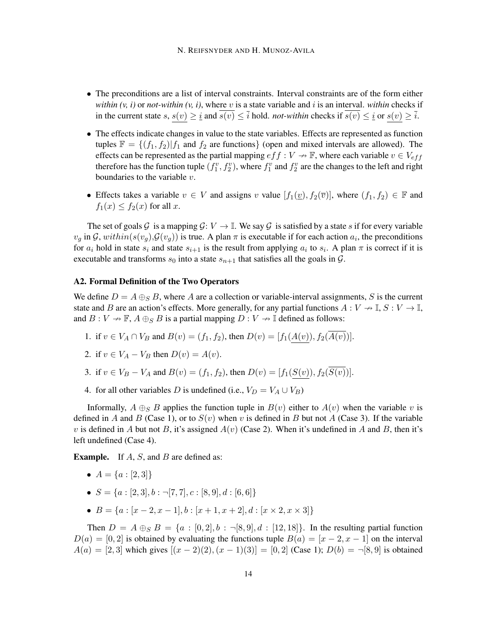- The preconditions are a list of interval constraints. Interval constraints are of the form either *within (v, i)* or *not-within (v, i)*, where v is a state variable and i is an interval. *within* checks if in the current state  $s, s(v) \geq \underline{i}$  and  $\overline{s(v)} \leq \overline{i}$  hold. *not-within* checks if  $\overline{s(v)} \leq \underline{i}$  or  $s(v) \geq \overline{i}$ .
- The effects indicate changes in value to the state variables. Effects are represented as function tuples  $\mathbb{F} = \{(f_1, f_2) | f_1 \text{ and } f_2 \text{ are functions}\}\$  (open and mixed intervals are allowed). The effects can be represented as the partial mapping  $eff : V \rightarrow \mathbb{F}$ , where each variable  $v \in V_{eff}$ therefore has the function tuple  $(f_1^v, f_2^v)$ , where  $f_1^v$  and  $f_2^v$  are the changes to the left and right boundaries to the variable  $v$ .
- Effects takes a variable  $v \in V$  and assigns v value  $[f_1(\underline{v}), f_2(\overline{v})]$ , where  $(f_1, f_2) \in \mathbb{F}$  and  $f_1(x) \le f_2(x)$  for all x.

The set of goals G is a mapping  $G: V \to \mathbb{I}$ . We say G is satisfied by a state s if for every variable  $v_g$  in  $\mathcal{G}$ ,  $within(s(v_g), \mathcal{G}(v_g))$  is true. A plan  $\pi$  is executable if for each action  $a_i$ , the preconditions for  $a_i$  hold in state  $s_i$  and state  $s_{i+1}$  is the result from applying  $a_i$  to  $s_i$ . A plan  $\pi$  is correct if it is executable and transforms  $s_0$  into a state  $s_{n+1}$  that satisfies all the goals in  $\mathcal{G}$ .

# A2. Formal Definition of the Two Operators

We define  $D = A \oplus_{S} B$ , where A are a collection or variable-interval assignments, S is the current state and B are an action's effects. More generally, for any partial functions  $A: V \to \mathbb{I}, S: V \to \mathbb{I}$ , and  $B : V \to \mathbb{F}$ ,  $A \oplus_S B$  is a partial mapping  $D : V \to \mathbb{I}$  defined as follows:

- 1. if  $v \in V_A \cap V_B$  and  $B(v) = (f_1, f_2)$ , then  $D(v) = [f_1(A(v)), f_2(\overline{A(v)})]$ .
- 2. if  $v \in V_A V_B$  then  $D(v) = A(v)$ .
- 3. if  $v \in V_B V_A$  and  $B(v) = (f_1, f_2)$ , then  $D(v) = [f_1(S(v)), f_2(\overline{S(v)})]$ .
- 4. for all other variables D is undefined (i.e.,  $V_D = V_A \cup V_B$ )

Informally,  $A \oplus_{S} B$  applies the function tuple in  $B(v)$  either to  $A(v)$  when the variable v is defined in A and B (Case 1), or to  $S(v)$  when v is defined in B but not A (Case 3). If the variable v is defined in A but not B, it's assigned  $A(v)$  (Case 2). When it's undefined in A and B, then it's left undefined (Case 4).

**Example.** If  $A$ ,  $S$ , and  $B$  are defined as:

- $A = \{a : [2, 3]\}$
- $S = \{a : [2, 3], b : \neg [7, 7], c : [8, 9], d : [6, 6]\}$
- $B = \{a : [x-2, x-1], b : [x+1, x+2], d : [x \times 2, x \times 3]\}$

Then  $D = A \oplus_{S} B = \{a : [0, 2], b : \neg[8, 9], d : [12, 18]\}.$  In the resulting partial function  $D(a) = [0, 2]$  is obtained by evaluating the functions tuple  $B(a) = [x - 2, x - 1]$  on the interval  $A(a) = [2, 3]$  which gives  $[(x - 2)(2), (x - 1)(3)] = [0, 2]$  (Case 1);  $D(b) = \neg [8, 9]$  is obtained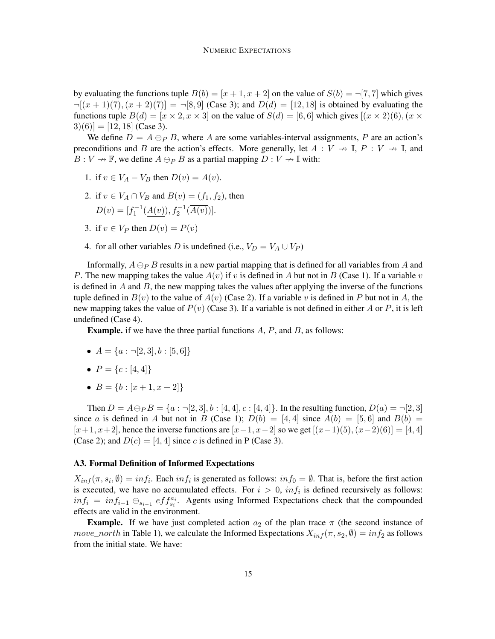by evaluating the functions tuple  $B(b) = [x + 1, x + 2]$  on the value of  $S(b) = \neg [7, 7]$  which gives  $\neg[(x + 1)(7), (x + 2)(7)] = \neg[8, 9]$  (Case 3); and  $D(d) = [12, 18]$  is obtained by evaluating the functions tuple  $B(d) = [x \times 2, x \times 3]$  on the value of  $S(d) = [6, 6]$  which gives  $[(x \times 2)(6), (x \times 3)]$  $3(6)$ ] = [12, 18] (Case 3).

We define  $D = A \ominus_P B$ , where A are some variables-interval assignments, P are an action's preconditions and B are the action's effects. More generally, let  $A: V \nrightarrow \mathbb{I}$ ,  $P: V \nrightarrow \mathbb{I}$ , and  $B: V \to \mathbb{F}$ , we define  $A \ominus_P B$  as a partial mapping  $D: V \to \mathbb{I}$  with:

- 1. if  $v \in V_A V_B$  then  $D(v) = A(v)$ .
- 2. if  $v \in V_A \cap V_B$  and  $B(v) = (f_1, f_2)$ , then  $D(v) = [f_1^{-1}(\underline{A(v)}), f_2^{-1}(\overline{A(v)})].$
- 3. if  $v \in V_P$  then  $D(v) = P(v)$
- 4. for all other variables D is undefined (i.e.,  $V_D = V_A \cup V_P$ )

Informally,  $A \ominus_P B$  results in a new partial mapping that is defined for all variables from A and P. The new mapping takes the value  $A(v)$  if v is defined in A but not in B (Case 1). If a variable v is defined in  $A$  and  $B$ , the new mapping takes the values after applying the inverse of the functions tuple defined in  $B(v)$  to the value of  $A(v)$  (Case 2). If a variable v is defined in P but not in A, the new mapping takes the value of  $P(v)$  (Case 3). If a variable is not defined in either A or P, it is left undefined (Case 4).

**Example.** if we have the three partial functions  $A$ ,  $P$ , and  $B$ , as follows:

- $A = \{a : \neg [2, 3], b : [5, 6]\}$
- $P = \{c : [4, 4]\}$
- $B = \{b : [x + 1, x + 2]\}$

Then  $D = A \ominus_P B = \{a : \neg [2, 3], b : [4, 4], c : [4, 4]\}.$  In the resulting function,  $D(a) = \neg [2, 3]$ since a is defined in A but not in B (Case 1);  $D(b) = [4, 4]$  since  $A(b) = [5, 6]$  and  $B(b) =$  $[x+1, x+2]$ , hence the inverse functions are  $[x-1, x-2]$  so we get  $[(x-1)(5), (x-2)(6)] = [4, 4]$ (Case 2); and  $D(c) = [4, 4]$  since c is defined in P (Case 3).

#### A3. Formal Definition of Informed Expectations

 $X_{inf}(\pi, s_i, \emptyset) = inf_i$ . Each  $inf_i$  is generated as follows:  $inf_0 = \emptyset$ . That is, before the first action is executed, we have no accumulated effects. For  $i > 0$ ,  $inf_i$  is defined recursively as follows:  $inf_i = inf_{i-1} \oplus_{s_{i-1}} eff_{s_i}^{a_i}$ . Agents using Informed Expectations check that the compounded effects are valid in the environment.

**Example.** If we have just completed action  $a_2$  of the plan trace  $\pi$  (the second instance of move\_north in Table 1), we calculate the Informed Expectations  $X_{inf}(\pi, s_2, \emptyset) = inf_2$  as follows from the initial state. We have: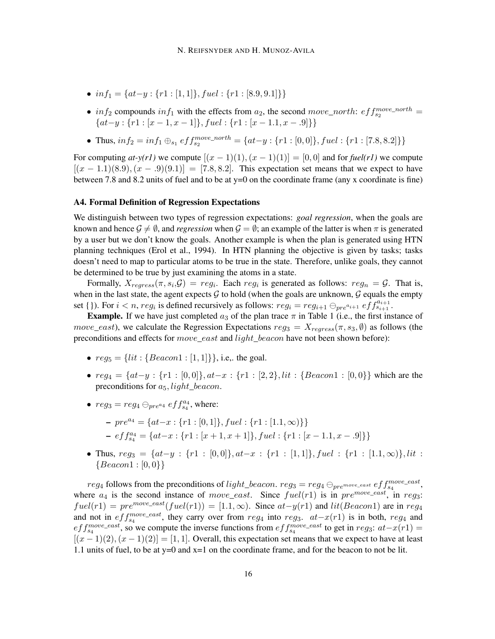- $in f_1 = \{at-y : \{r1 : [1,1]\}, fuel : \{r1 : [8.9,9.1]\}\}\$
- in  $f_2$  compounds in  $f_1$  with the effects from  $a_2$ , the second move\_north:  $eff_{s_2}^{move\_north}$  =  $\{at-y: \{r1: [x-1,x-1]\}, fuel: \{r1: [x-1,1,x-.9]\}\}\$
- Thus,  $inf_2 = inf_1 \oplus_{s_1} eff_{s_2}^{move\_north} = \{at y : \{r1 : [0,0]\}, fuel : \{r1 : [7.8,8.2]\}\}$

For computing  $at-y(r)$  we compute  $[(x-1)(1), (x-1)(1)] = [0,0]$  and for  $fuel(r)$  we compute  $[(x - 1.1)(8.9), (x - .9)(9.1)] = [7.8, 8.2]$ . This expectation set means that we expect to have between 7.8 and 8.2 units of fuel and to be at y=0 on the coordinate frame (any x coordinate is fine)

#### A4. Formal Definition of Regression Expectations

We distinguish between two types of regression expectations: *goal regression*, when the goals are known and hence  $\mathcal{G} \neq \emptyset$ , and *regression* when  $\mathcal{G} = \emptyset$ ; an example of the latter is when  $\pi$  is generated by a user but we don't know the goals. Another example is when the plan is generated using HTN planning techniques (Erol et al., 1994). In HTN planning the objective is given by tasks; tasks doesn't need to map to particular atoms to be true in the state. Therefore, unlike goals, they cannot be determined to be true by just examining the atoms in a state.

Formally,  $X_{regress}(\pi, s_i, \mathcal{G}) = reg_i$ . Each  $reg_i$  is generated as follows:  $reg_n = \mathcal{G}$ . That is, when in the last state, the agent expects  $G$  to hold (when the goals are unknown,  $G$  equals the empty set {}). For  $i < n$ ,  $reg_i$  is defined recursively as follows:  $reg_i = reg_{i+1} \ominus_{pre^{a_{i+1}}} eff_{s_{i+1}}^{a_{i+1}}$ .

**Example.** If we have just completed  $a_3$  of the plan trace  $\pi$  in Table 1 (i.e., the first instance of move\_east), we calculate the Regression Expectations  $reg_3 = X_{regress}(\pi, s_3, \emptyset)$  as follows (the preconditions and effects for *move* east and *light* beacon have not been shown before):

- $reg_5 = \{lit : \{Beacon1 : [1, 1]\}\},$  i.e., the goal.
- $reg_4 = \{at-y : \{r1 : [0,0]\}, at-x : \{r1 : [2,2], lit : \{Beacon1 : [0,0]\}\}\)$  which are the preconditions for  $a_5$ , light\_beacon.
- $reg_3 = reg_4 \ominus_{pre^{a_4}} eff_{s_4}^{a_4}$ , where:

$$
= pre^{a_4} = \{at - x : \{r1 : [0,1]\}, fuel : \{r1 : [1.1, \infty)\}\}\
$$

$$
\hspace*{0.2cm}-\,eff^{a_4}_{s_4}=\{at-x:\{r1:[x+1,x+1]\},fuel:\{r1:[x-1.1,x-.9]\}\}
$$

• Thus,  $reg_3 = \{at-y : \{r1 : [0,0]\}, at-x : \{r1 : [1,1]\}, fuel : \{r1 : [1.1,\infty)\}, lit :$  ${Beacon1 : [0,0}$ 

 $reg_4$  follows from the preconditions of  $light\_beacon.~reg_3=reg_4\ominus_{pre^{move\_east}}$   $eff_{s_4}^{move\_east},$ where  $a_4$  is the second instance of move\_east. Since  $fuel(r1)$  is in  $pre^{move\_east}$ , in reg<sub>3</sub>:  $fuel(r1) = pre^{move\_east}(fuel(r1)) = [1.1, \infty)$ . Since  $at-y(r1)$  and  $lit(Beacon1)$  are in reg<sub>4</sub> and not in  $eff_{s_4}^{move\_east}$ , they carry over from  $reg_4$  into  $reg_3$ .  $at-x(r1)$  is in both,  $reg_4$  and  $eff_{s_4}^{move\_east}$ , so we compute the inverse functions from  $eff_{s_4}^{move\_east}$  to get in  $reg_3: at-x(r1)$  =  $[(x-1)(2), (x-1)(2)] = [1, 1]$ . Overall, this expectation set means that we expect to have at least 1.1 units of fuel, to be at y=0 and x=1 on the coordinate frame, and for the beacon to not be lit.